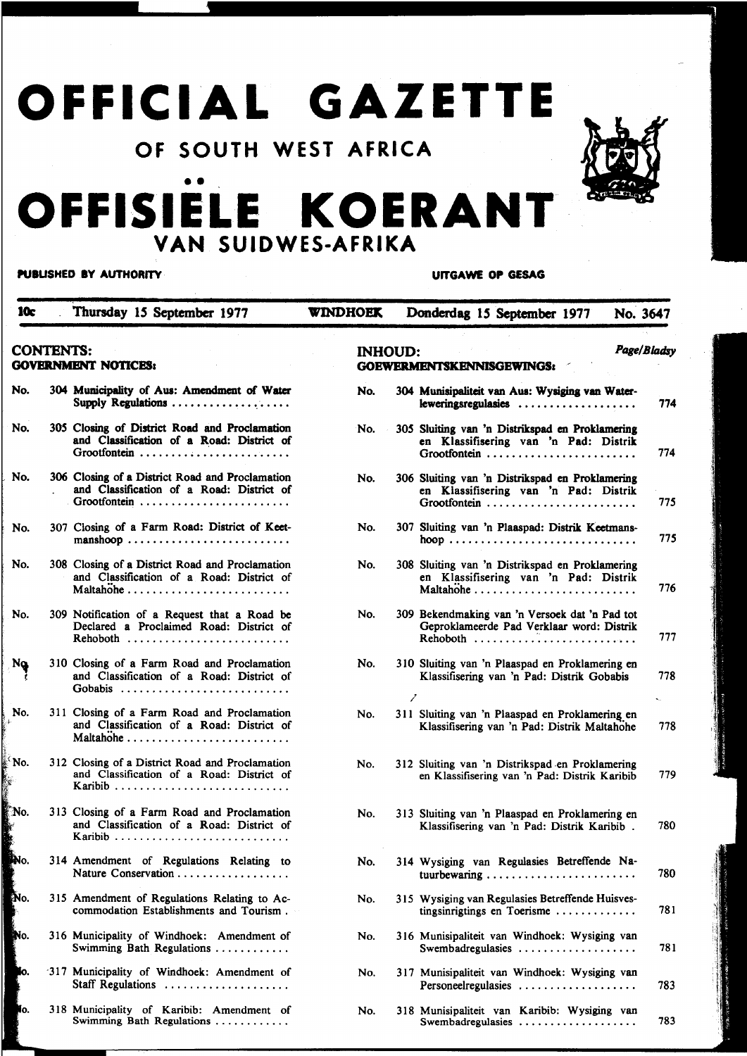# OFFICIAL GAZETTE

### OF SOUTH WEST AFRICA

## •• OFFISIELE KOERANT VAN SUIDWES-AFRIKA

## PUIUSHED IY AUTHORITY

UrTGAWE OP GESAG

| 10c                                            |  | Thursday 15 September 1977                                                                                   | <b>WINDHOEK</b> | Donderdag 15 September 1977<br>No. 3647                                                                                                 |
|------------------------------------------------|--|--------------------------------------------------------------------------------------------------------------|-----------------|-----------------------------------------------------------------------------------------------------------------------------------------|
| <b>CONTENTS:</b><br><b>GOVERNMENT NOTICES:</b> |  |                                                                                                              | <b>INHOUD:</b>  | Page/Bladsy<br><b>GOEWERMENTSKENNISGEWINGS:</b>                                                                                         |
| No.                                            |  | 304 Municipality of Aus: Amendment of Water<br>Supply Regulations                                            | No.             | 304 Munisipaliteit van Aus: Wysiging van Water-<br>leweringsregulasies<br>774                                                           |
| No.                                            |  | 305 Closing of District Road and Proclamation<br>and Classification of a Road: District of<br>Grootfontein   | No.             | 305 Sluiting van 'n Distrikspad en Proklamering<br>en Klassifisering van 'n Pad: Distrik<br>774                                         |
| No.                                            |  | 306 Closing of a District Road and Proclamation<br>and Classification of a Road: District of<br>Grootfontein | No.             | 306 Sluiting van 'n Distrikspad en Proklamering<br>en Klassifisering van 'n Pad: Distrik<br>775                                         |
| No.                                            |  | 307 Closing of a Farm Road: District of Keet-<br>manshoop                                                    | No.             | 307 Sluiting van 'n Plaaspad: Distrik Keetmans-<br>775                                                                                  |
| No.                                            |  | 308 Closing of a District Road and Proclamation<br>and Classification of a Road: District of                 | No.             | 308 Sluiting van 'n Distrikspad en Proklamering<br>en Klassifisering van 'n Pad: Distrik<br>776                                         |
| No.                                            |  | 309 Notification of a Request that a Road be<br>Declared a Proclaimed Road: District of<br>Rehoboth          | No.             | 309 Bekendmaking van 'n Versoek dat 'n Pad tot<br>Geproklameerde Pad Verklaar word: Distrik<br>777                                      |
| $N_Q$                                          |  | 310 Closing of a Farm Road and Proclamation<br>and Classification of a Road: District of<br>Gobabis          | No.             | 310 Sluiting van 'n Plaaspad en Proklamering en<br>778<br>Klassifisering van 'n Pad: Distrik Gobabis<br>$\hat{\mathbf{S}}_{\text{eff}}$ |
| No.                                            |  | 311 Closing of a Farm Road and Proclamation<br>and Classification of a Road: District of                     | No.             | 311 Sluiting van 'n Plaaspad en Proklamering en<br>Klassifisering van 'n Pad: Distrik Maltahohe<br>778                                  |
| ®No.<br>l.                                     |  | 312 Closing of a District Road and Proclamation<br>and Classification of a Road: District of                 | No.             | 312 Sluiting van 'n Distrikspad en Proklamering<br>779<br>en Klassifisering van 'n Pad: Distrik Karibib                                 |
| No.<br>À.<br>į.                                |  | 313 Closing of a Farm Road and Proclamation<br>and Classification of a Road: District of<br>Karibib          | No.             | 313 Sluiting van 'n Plaaspad en Proklamering en<br>780<br>Klassifisering van 'n Pad: Distrik Karibib.                                   |
| <b>ANO.</b>                                    |  | 314 Amendment of Regulations Relating to<br>Nature Conservation                                              | No.             | 314 Wysiging van Regulasies Betreffende Na-<br>780                                                                                      |
| PNo.                                           |  | 315 Amendment of Regulations Relating to Ac-<br>commodation Establishments and Tourism.                      | No.             | 315 Wysiging van Regulasies Betreffende Huisves-<br>781<br>tingsinrigtings en Toerisme $\ldots \ldots \ldots \ldots$                    |
| No.                                            |  | 316 Municipality of Windhoek: Amendment of<br>Swimming Bath Regulations                                      | No.             | 316 Munisipaliteit van Windhoek: Wysiging van<br>781<br>Swembadregulasies                                                               |
| Ĩо.                                            |  | 317 Municipality of Windhoek: Amendment of<br>Staff Regulations                                              | No.             | 317 Munisipaliteit van Windhoek: Wysiging van<br>783<br>Personeelregulasies                                                             |
| lo.                                            |  | 318 Municipality of Karibib: Amendment of<br>Swimming Bath Regulations                                       | No.             | 318 Munisipaliteit van Karibib: Wysiging van<br>783<br>Swembadregulasies                                                                |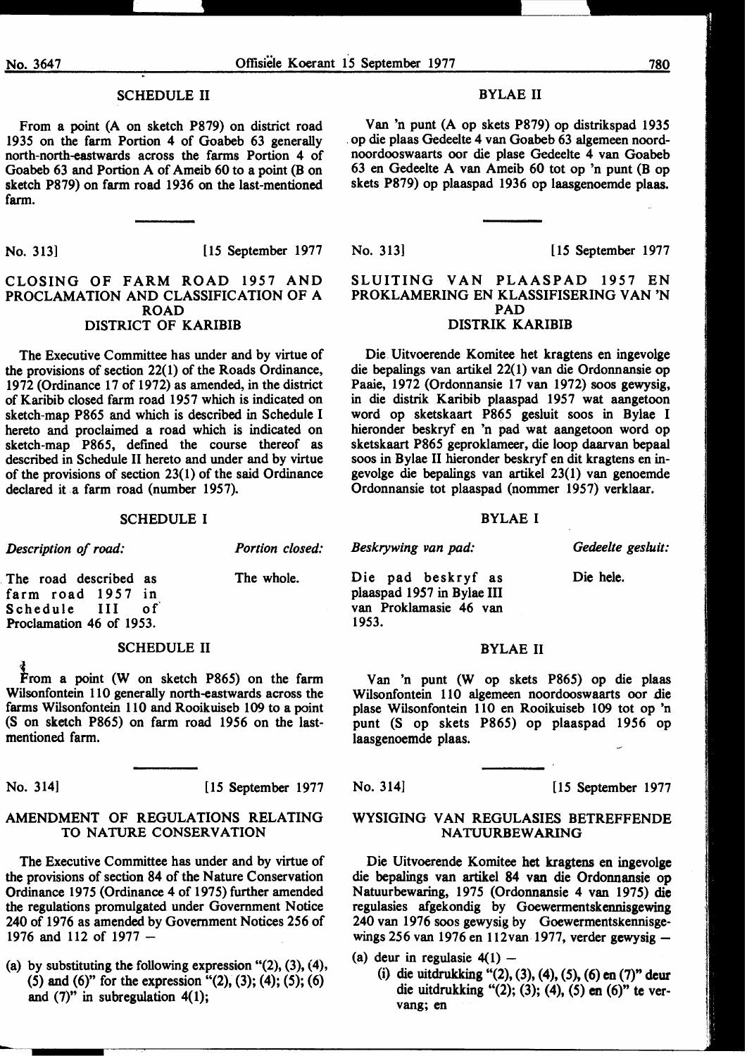#### SCHEDULE II

From a point (A on sketch P879) on district road 1935 on the farm Portion 4 of Goabeb 63 generally north-north-eastwards across the farms Portion 4 of Goabeb 63 and Portion A of Ameib 60 to a point (B on sketch P879) on farm road 1936 on the last-mentioned farm.

No. 313] [ 15 September 1977]

#### CLOSING OF FARM ROAD 1957 AND PROCLAMATION AND CLASSIFICATION OF A ROAD DISTRICT OF KARIBIB

The Executive Committee has under and by virtue of the provisions of section 22( 1) of the Roads Ordinance, 1972 (Ordinance 17 of 1972) as amended, in the district of Karibib closed farm road 1957 which is indicated on sketch-map P865 and which is described in Schedule I hereto and proclaimed a road which is indicated on sketch-map P865, defined the course thereof as described in Schedule II hereto and under and by virtue of the provisions of section  $23(1)$  of the said Ordinance declared it a farm road (number 1957).

#### SCHEDULE I

| Description of road:                                                                           | <b>Portion closed:</b> | Beskrywing van pad:                                                                 | Gedeelte gesluit: |
|------------------------------------------------------------------------------------------------|------------------------|-------------------------------------------------------------------------------------|-------------------|
| The road described as<br>farm road 1957 in<br>ິດ f<br>Schedule III<br>Proclamation 46 of 1953. | The whole.             | Die pad beskryf as<br>plaaspad 1957 in Bylae III<br>van Proklamasie 46 van<br>1953. | Die hele.         |

#### SCHEDULE II

From a point (W on sketch P865) on the farm Wilsonfontein 110 generally north-eastwards across the farms Wilsonfontein 110 and Rooikuiseb 109 to a point (S on sketch P865) on farm road 1956 on the lastmentioned farm.

No. 314] [15 September 1977

#### AMENDMENT OF REGULATIONS RELATING TO NATURE CONSERVATION

The Executive Committee has under and by virtue of the provisions of section 84 of the Nature Conservation Ordinance 1975 (Ordinance 4 of 1975) further amended the regulations promulgated under Government Notice 240 of 1976 as amended by Government Notices 256 of 1976 and 112 of 1977-

(a) by substituting the following expression  $(2)$ ,  $(3)$ ,  $(4)$ , (5) and (6)" for the expression "(2), (3); (4); (5); (6) and  $(7)$ " in subregulation  $4(1)$ ;

#### BYLAE II

Van 'n punt (A op skets P879) op distrikspad 1935 . op die plaas Gedeelte 4 van Goabeb 63 algemeen noordnoordooswaarts oor die plase Gedeelte 4 van Goabeb 63 en Gedeelte A van Ameib 60 tot op 'n punt (B op skets P879) op plaaspad 1936 op laasgenoemde plaas.

No. 313] [15 September 1977

#### SLUITING VAN PLAASPAD 1957 EN PROKLAMERING EN KLASSIFISERING VAN 'N PAD DISTRIK KARIBIB

Die. Uitvoerende Komitee bet kragtens en ingevolge die bepalings van artikel 22(1) van die Ordonnansie op Paaie, 1972 (Ordonnansie 17 van 1972) soos gewysig, in die distrik Karibib plaaspad 1957 wat aangetoon word op sketskaart P865 gesluit soos in Bylae I hieronder beskryf en 'n pad wat aangetoon word op sketskaart P865 geproklameer, die loop daarvan bepaal soos in Bylae II hieronder beskryf en dit kragtens en ingevolge die bepalings van artikel 23(1) van genoemde Ordonnansie tot plaaspad (nommer 1957) verklaar.

#### BYLAE I

#### BYLAE II

Van 'n punt (W op skets P865) op die plaas Wilsonfontein 110 algemeen noordooswaarts oor die plase Wilsonfontein 110 en Rooikuiseb 109 tot op 'n punt (S op skets P865) op plaaspad 1956 op laasgenoemde plaas.

No. 314] [15 September 1977

#### WYSIGING VAN REGULASIES BETREFFENDE NA TUURBEW ARING

Die Uitvoerende Komitee het kragtens en ingevolge die bepalings van artikel 84 van die Ordonnansie op Natuurbewaring, 1975 (Ordonnansie 4 van 1975) die regulasies afgekondig by Goewermentskennisgewing 240 van 1976 soos gewysig by Goewermentskennisgewings 256 van 1976 en 112van 1977, verder gewysig-

(a) deur in regulasie  $4(1)$  -

(i) die uitdrukking "(2), (3), (4), (5), (6) en (7)" deur die uitdrukking "(2); (3); (4), (5) en (6)" te vervang; en